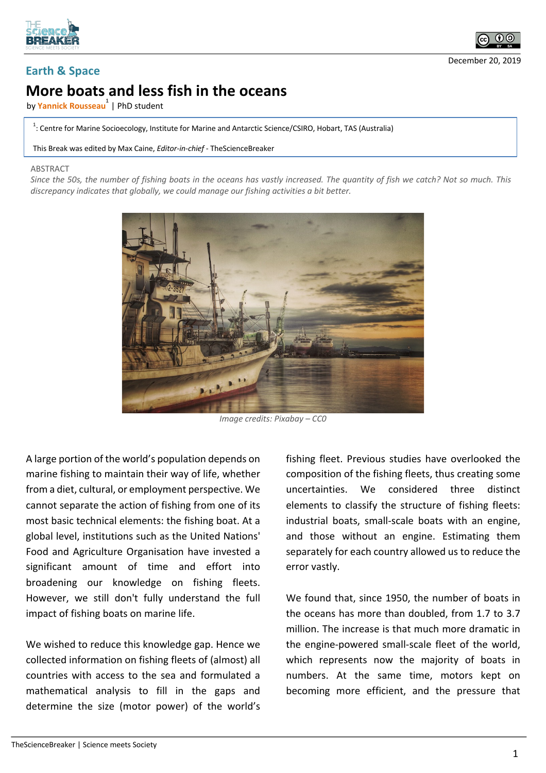



## **Earth & Space**

## **More boats and less fish in the oceans**

**by <mark>Yannick Rousseau<sup>1</sup>** | PhD student</mark>

<sup>1</sup>: Centre for Marine Socioecology, Institute for Marine and Antarctic Science/CSIRO, Hobart, TAS (Australia)

This Break was edited by Max Caine, *Editor-in-chief* - TheScienceBreaker

## **ABSTRACT**

*Since the 50s, the number of fishing boats in the oceans has vastly increased. The quantity of fish we catch? Not so much. This discrepancy indicates that globally, we could manage our fishing activities a bit better.*



*Image credits: Pixabay – CC0*

A large portion of the world's population depends on marine fishing to maintain their way of life, whether from a diet, cultural, or employment perspective. We cannot separate the action of fishing from one of its most basic technical elements: the fishing boat. At a global level, institutions such as the United Nations' Food and Agriculture Organisation have invested a significant amount of time and effort into broadening our knowledge on fishing fleets. However, we still don't fully understand the full impact of fishing boats on marine life.

We wished to reduce this knowledge gap. Hence we collected information on fishing fleets of (almost) all countries with access to the sea and formulated a mathematical analysis to fill in the gaps and determine the size (motor power) of the world's fishing fleet. Previous studies have overlooked the composition of the fishing fleets, thus creating some uncertainties. We considered three distinct elements to classify the structure of fishing fleets: industrial boats, small-scale boats with an engine, and those without an engine. Estimating them separately for each country allowed us to reduce the error vastly.

We found that, since 1950, the number of boats in the oceans has more than doubled, from 1.7 to 3.7 million. The increase is that much more dramatic in the engine-powered small-scale fleet of the world, which represents now the majority of boats in numbers. At the same time, motors kept on becoming more efficient, and the pressure that